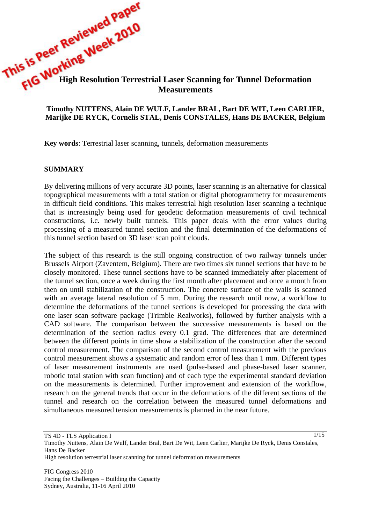# **This is very working Week Conserved Week Conserved Articles Working Week Conserved Articles Conserved Articles Conserved Articles Conserved Articles Conserved Articles Conserved Articles Conserved Articles Conserved Artic Measurements**

### **Timothy NUTTENS, Alain DE WULF, Lander BRAL, Bart DE WIT, Leen CARLIER, Marijke DE RYCK, Cornelis STAL, Denis CONSTALES, Hans DE BACKER, Belgium**

**Key words**: Terrestrial laser scanning, tunnels, deformation measurements

#### **SUMMARY**

By delivering millions of very accurate 3D points, laser scanning is an alternative for classical topographical measurements with a total station or digital photogrammetry for measurements in difficult field conditions. This makes terrestrial high resolution laser scanning a technique that is increasingly being used for geodetic deformation measurements of civil technical constructions, i.c. newly built tunnels. This paper deals with the error values during processing of a measured tunnel section and the final determination of the deformations of this tunnel section based on 3D laser scan point clouds.

The subject of this research is the still ongoing construction of two railway tunnels under Brussels Airport (Zaventem, Belgium). There are two times six tunnel sections that have to be closely monitored. These tunnel sections have to be scanned immediately after placement of the tunnel section, once a week during the first month after placement and once a month from then on until stabilization of the construction. The concrete surface of the walls is scanned with an average lateral resolution of 5 mm. During the research until now, a workflow to determine the deformations of the tunnel sections is developed for processing the data with one laser scan software package (Trimble Realworks), followed by further analysis with a CAD software. The comparison between the successive measurements is based on the determination of the section radius every 0.1 grad. The differences that are determined between the different points in time show a stabilization of the construction after the second control measurement. The comparison of the second control measurement with the previous control measurement shows a systematic and random error of less than 1 mm. Different types of laser measurement instruments are used (pulse-based and phase-based laser scanner, robotic total station with scan function) and of each type the experimental standard deviation on the measurements is determined. Further improvement and extension of the workflow, research on the general trends that occur in the deformations of the different sections of the tunnel and research on the correlation between the measured tunnel deformations and simultaneous measured tension measurements is planned in the near future.

 $1/15$ 

TS 4D - TLS Application I

Timothy Nuttens, Alain De Wulf, Lander Bral, Bart De Wit, Leen Carlier, Marijke De Ryck, Denis Constales, Hans De Backer

High resolution terrestrial laser scanning for tunnel deformation measurements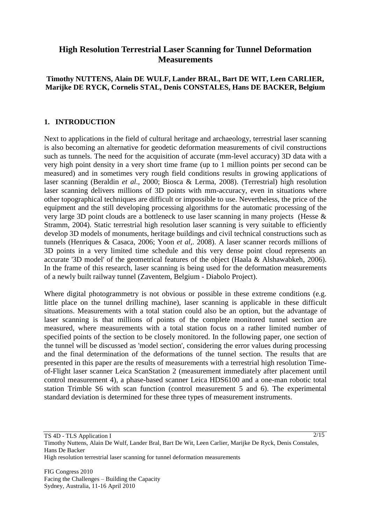# **High Resolution Terrestrial Laser Scanning for Tunnel Deformation Measurements**

## **Timothy NUTTENS, Alain DE WULF, Lander BRAL, Bart DE WIT, Leen CARLIER, Marijke DE RYCK, Cornelis STAL, Denis CONSTALES, Hans DE BACKER, Belgium**

### **1. INTRODUCTION**

Next to applications in the field of cultural heritage and archaeology, terrestrial laser scanning is also becoming an alternative for geodetic deformation measurements of civil constructions such as tunnels. The need for the acquisition of accurate (mm-level accuracy) 3D data with a very high point density in a very short time frame (up to 1 million points per second can be measured) and in sometimes very rough field conditions results in growing applications of laser scanning (Beraldin *et al*., 2000; Biosca & Lerma, 2008). (Terrestrial) high resolution laser scanning delivers millions of 3D points with mm-accuracy, even in situations where other topographical techniques are difficult or impossible to use. Nevertheless, the price of the equipment and the still developing processing algorithms for the automatic processing of the very large 3D point clouds are a bottleneck to use laser scanning in many projects (Hesse & Stramm, 2004). Static terrestrial high resolution laser scanning is very suitable to efficiently develop 3D models of monuments, heritage buildings and civil technical constructions such as tunnels (Henriques & Casaca, 2006; Yoon *et al,.* 2008). A laser scanner records millions of 3D points in a very limited time schedule and this very dense point cloud represents an accurate '3D model' of the geometrical features of the object (Haala & Alshawabkeh, 2006). In the frame of this research, laser scanning is being used for the deformation measurements of a newly built railway tunnel (Zaventem, Belgium - Diabolo Project).

Where digital photogrammetry is not obvious or possible in these extreme conditions (e.g. little place on the tunnel drilling machine), laser scanning is applicable in these difficult situations. Measurements with a total station could also be an option, but the advantage of laser scanning is that millions of points of the complete monitored tunnel section are measured, where measurements with a total station focus on a rather limited number of specified points of the section to be closely monitored. In the following paper, one section of the tunnel will be discussed as 'model section', considering the error values during processing and the final determination of the deformations of the tunnel section. The results that are presented in this paper are the results of measurements with a terrestrial high resolution Timeof-Flight laser scanner Leica ScanStation 2 (measurement immediately after placement until control measurement 4), a phase-based scanner Leica HDS6100 and a one-man robotic total station Trimble S6 with scan function (control measurement 5 and 6). The experimental standard deviation is determined for these three types of measurement instruments.

 $\sqrt{2/15}$ 

High resolution terrestrial laser scanning for tunnel deformation measurements

TS 4D - TLS Application I

Timothy Nuttens, Alain De Wulf, Lander Bral, Bart De Wit, Leen Carlier, Marijke De Ryck, Denis Constales, Hans De Backer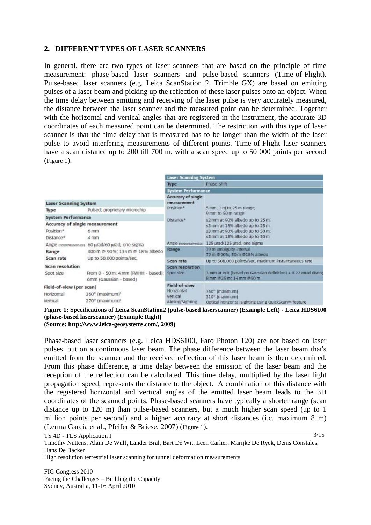#### **2. DIFFERENT TYPES OF LASER SCANNERS**

In general, there are two types of laser scanners that are based on the principle of time measurement: phase-based laser scanners and pulse-based scanners (Time-of-Flight). Pulse-based laser scanners (e.g. Leica ScanStation 2, Trimble GX) are based on emitting pulses of a laser beam and picking up the reflection of these laser pulses onto an object. When the time delay between emitting and receiving of the laser pulse is very accurately measured, the distance between the laser scanner and the measured point can be determined. Together with the horizontal and vertical angles that are registered in the instrument, the accurate 3D coordinates of each measured point can be determined. The restriction with this type of laser scanner is that the time delay that is measured has to be longer than the width of the laser pulse to avoid interfering measurements of different points. Time-of-Flight laser scanners have a scan distance up to 200 till 700 m, with a scan speed up to 50 000 points per second ([Figure 1](#page-2-0)).

|                                                                       |                                                               | <b>Laser Scanning System</b>                              |                                                                                                                                                              |  |
|-----------------------------------------------------------------------|---------------------------------------------------------------|-----------------------------------------------------------|--------------------------------------------------------------------------------------------------------------------------------------------------------------|--|
|                                                                       |                                                               | Type                                                      | Phase-shift                                                                                                                                                  |  |
|                                                                       |                                                               | <b>System Performance</b>                                 |                                                                                                                                                              |  |
| <b>Laser Scanning System</b><br>Pulsed; proprietary microchip<br>Type |                                                               | Accuracy of single<br>measurement<br>Position*            | 5 mm, 1 m to 25 m range;                                                                                                                                     |  |
| <b>System Performance</b>                                             |                                                               | Distance*                                                 | 9 mm to 50 m range<br>s2 mm at 90% albedo up to 25 m;<br>s3 mm at 18% albedo up to 25 m<br>≤3 mm at 90% albedo up to 50 m;<br>≤5 mm at 18% albedo up to 50 m |  |
| Accuracy of single measurement<br>Position*<br>Distance*              | 6 mm<br>$4$ mm                                                |                                                           |                                                                                                                                                              |  |
| Angle monrontalvertical) 60 urad/60 urad, one sigma                   |                                                               |                                                           | Angle invariativenza) 125 urad/125 urad, one sigma                                                                                                           |  |
| Range                                                                 | 300 m @ 90%; 134 m @ 18% albedo<br>Up to 50,000 points/sec.   | Range                                                     | 79 m ambiguity interval<br>79 m @ 90%; 50 m @ 18% albedo                                                                                                     |  |
| Scan rate                                                             |                                                               | Scan rate                                                 | Up to 508,000 points/sec, maximum instantaneous rate                                                                                                         |  |
| Scan resolution<br>Spot size                                          | From 0 - 50 m; 4 mm (PWHH - based);<br>6mm (Gaussian - based) | <b>Scan resolution</b><br>Spot size                       | 3 mm at exit (based on Gaussian definition) + 0.22 mrad diverge<br>8 mm @25 m; 14 mm @50 m                                                                   |  |
| Field-of-view (per scan)<br>Horizontal<br>Vertical                    | 360° (maximum) <sup>1</sup><br>270° (maximum) <sup>1</sup>    | Field-of-view<br>Honzontal<br>Vertical<br>Aiming/Sighting | 360° (maximum)<br>310° (maximum)<br>Optical honzontal sighting using QuickScan™ feature                                                                      |  |

<span id="page-2-0"></span>**Figure 1: Specifications of Leica ScanStation2 (pulse-based laserscanner) (Example Left) - Leica HDS6100 (phase-based laserscanner) (Example Right)**

**(Source: http://www.leica-geosystems.com/, 2009)**

Phase-based laser scanners (e.g. Leica HDS6100, Faro Photon 120) are not based on laser pulses, but on a continuous laser beam. The phase difference between the laser beam that's emitted from the scanner and the received reflection of this laser beam is then determined. From this phase difference, a time delay between the emission of the laser beam and the reception of the reflection can be calculated. This time delay, multiplied by the laser light propagation speed, represents the distance to the object. A combination of this distance with the registered horizontal and vertical angles of the emitted laser beam leads to the 3D coordinates of the scanned points. Phase-based scanners have typically a shorter range (scan distance up to 120 m) than pulse-based scanners, but a much higher scan speed (up to 1 million points per second) and a higher accuracy at short distances (i.c. maximum 8 m) (Lerma Garcia et al., Pfeifer & Briese, 2007) ([Figure 1](#page-2-0)).

 $3/15$ 

TS 4D - TLS Application I Timothy Nuttens, Alain De Wulf, Lander Bral, Bart De Wit, Leen Carlier, Marijke De Ryck, Denis Constales, Hans De Backer

High resolution terrestrial laser scanning for tunnel deformation measurements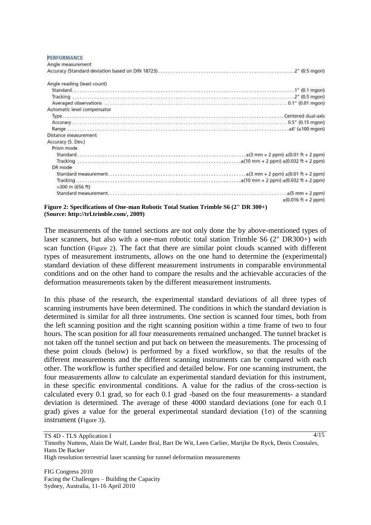**PERFORMANCE** Angle means reament

| which reconstructive                                                                                                                                                                                                                                                                                                               |
|------------------------------------------------------------------------------------------------------------------------------------------------------------------------------------------------------------------------------------------------------------------------------------------------------------------------------------|
|                                                                                                                                                                                                                                                                                                                                    |
| Angle reading (least count)                                                                                                                                                                                                                                                                                                        |
|                                                                                                                                                                                                                                                                                                                                    |
|                                                                                                                                                                                                                                                                                                                                    |
| Averaged observations (exercises) (0.01 mgon)                                                                                                                                                                                                                                                                                      |
| Automatic level compensator                                                                                                                                                                                                                                                                                                        |
|                                                                                                                                                                                                                                                                                                                                    |
|                                                                                                                                                                                                                                                                                                                                    |
|                                                                                                                                                                                                                                                                                                                                    |
| Distance measurement                                                                                                                                                                                                                                                                                                               |
| Accuracy (S. Dev.)                                                                                                                                                                                                                                                                                                                 |
| Prism mode                                                                                                                                                                                                                                                                                                                         |
| (0.01 ft + 2 ppm) $\pm$ (0.01 ft + 2 ppm)                                                                                                                                                                                                                                                                                          |
|                                                                                                                                                                                                                                                                                                                                    |
| DR mode                                                                                                                                                                                                                                                                                                                            |
|                                                                                                                                                                                                                                                                                                                                    |
|                                                                                                                                                                                                                                                                                                                                    |
| $>300$ m (656 ft)                                                                                                                                                                                                                                                                                                                  |
|                                                                                                                                                                                                                                                                                                                                    |
| $\pm (0.016 \text{ ft} + 2 \text{ ppm})$                                                                                                                                                                                                                                                                                           |
| $\mathbf{A}$ $\mathbf{C}$ $\mathbf{B}$ $\mathbf{A}$ $\mathbf{B}$ $\mathbf{A}$ $\mathbf{B}$ $\mathbf{A}$ $\mathbf{B}$ $\mathbf{A}$ $\mathbf{B}$ $\mathbf{C}$ $\mathbf{B}$ $\mathbf{B}$ $\mathbf{A}$ $\mathbf{B}$ $\mathbf{B}$ $\mathbf{A}$ $\mathbf{B}$ $\mathbf{A}$ $\mathbf{B}$ $\mathbf{A}$ $\mathbf{B}$ $\mathbf{A}$ $\mathbf{$ |

<span id="page-3-0"></span>**Figure 2: Specifications of One-man Robotic Total Station Trimble S6 (2" DR 300+) (Source: http://trl.trimble.com/, 2009)**

The measurements of the tunnel sections are not only done the by above-mentioned types of laser scanners, but also with a one-man robotic total station Trimble S6 (2" DR300+) with scan function ([Figure 2](#page-3-0)). The fact that there are similar point clouds scanned with different types of measurement instruments, allows on the one hand to determine the (experimental) standard deviation of these different measurement instruments in comparable environmental conditions and on the other hand to compare the results and the achievable accuracies of the deformation measurements taken by the different measurement instruments.

In this phase of the research, the experimental standard deviations of all three types of scanning instruments have been determined. The conditions in which the standard deviation is determined is similar for all three instruments. One section is scanned four times, both from the left scanning position and the right scanning position within a time frame of two to four hours. The scan position for all four measurements remained unchanged. The tunnel bracket is not taken off the tunnel section and put back on between the measurements. The processing of these point clouds (below) is performed by a fixed workflow, so that the results of the different measurements and the different scanning instruments can be compared with each other. The workflow is further specified and detailed below. For one scanning instrument, the four measurements allow to calculate an experimental standard deviation for this instrument, in these specific environmental conditions. A value for the radius of the cross-section is calculated every 0.1 grad, so for each 0.1 grad -based on the four measurements- a standard deviation is determined. The average of these 4000 standard deviations (one for each 0.1 grad) gives a value for the general experimental standard deviation  $(1\sigma)$  of the scanning instrument ([Figure 3](#page-4-0)).

TS 4D - TLS Application I Timothy Nuttens, Alain De Wulf, Lander Bral, Bart De Wit, Leen Carlier, Marijke De Ryck, Denis Constales, Hans De Backer 4/15

High resolution terrestrial laser scanning for tunnel deformation measurements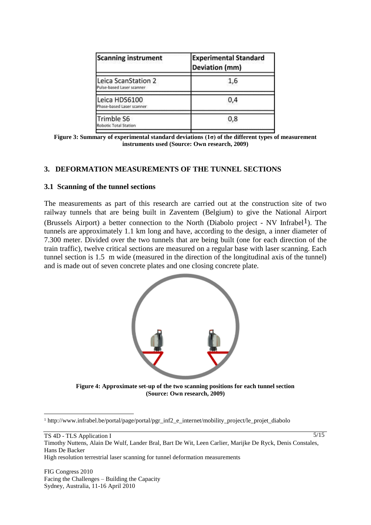| <b>Scanning instrument</b>                       | <b>Experimental Standard</b><br>Deviation (mm) |  |  |
|--------------------------------------------------|------------------------------------------------|--|--|
| Leica ScanStation 2<br>Pulse-based Laser scanner | 1,6                                            |  |  |
| Leica HDS6100<br>Phase-based Laser scanner       | 0,4                                            |  |  |
| <b>Trimble S6</b><br>Robotic Total Station       | 0,8                                            |  |  |
|                                                  |                                                |  |  |

<span id="page-4-0"></span>**Figure 3: Summary of experimental standard deviations (1σ) of the different types of measurement instruments used (Source: Own research, 2009)**

#### **3. DEFORMATION MEASUREMENTS OF THE TUNNEL SECTIONS**

#### **3.1 Scanning of the tunnel sections**

The measurements as part of this research are carried out at the construction site of two railway tunnels that are being built in Zaventem (Belgium) to give the National Airport (Brussels Airport) a better connection to the North (Diabolo project - NV Infrabel<sup>1</sup>). The tunnels are approximately 1.1 km long and have, according to the design, a inner diameter of 7.300 meter. Divided over the two tunnels that are being built (one for each direction of the train traffic), twelve critical sections are measured on a regular base with laser scanning. Each tunnel section is 1.5 m wide (measured in the direction of the longitudinal axis of the tunnel) and is made out of seven concrete plates and one closing concrete plate.



**Figure 4: Approximate set-up of the two scanning positions for each tunnel section (Source: Own research, 2009)**

TS 4D - TLS Application I

<span id="page-4-1"></span> $\overline{a}$ 

5/15

High resolution terrestrial laser scanning for tunnel deformation measurements

<sup>1</sup> http://www.infrabel.be/portal/page/portal/pgr\_inf2\_e\_internet/mobility\_project/le\_projet\_diabolo

Timothy Nuttens, Alain De Wulf, Lander Bral, Bart De Wit, Leen Carlier, Marijke De Ryck, Denis Constales, Hans De Backer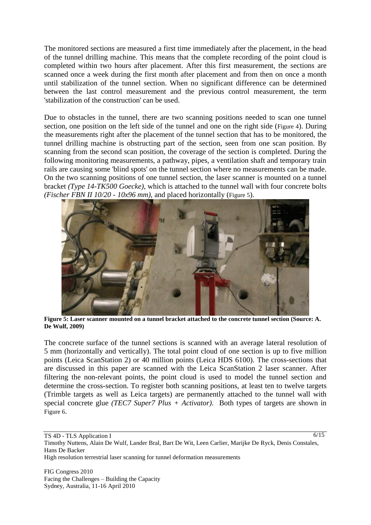The monitored sections are measured a first time immediately after the placement, in the head of the tunnel drilling machine. This means that the complete recording of the point cloud is completed within two hours after placement. After this first measurement, the sections are scanned once a week during the first month after placement and from then on once a month until stabilization of the tunnel section. When no significant difference can be determined between the last control measurement and the previous control measurement, the term 'stabilization of the construction' can be used.

Due to obstacles in the tunnel, there are two scanning positions needed to scan one tunnel section, one position on the left side of the tunnel and one on the right side ([Figure 4](#page-4-1)). During the measurements right after the placement of the tunnel section that has to be monitored, the tunnel drilling machine is obstructing part of the section, seen from one scan position. By scanning from the second scan position, the coverage of the section is completed. During the following monitoring measurements, a pathway, pipes, a ventilation shaft and temporary train rails are causing some 'blind spots' on the tunnel section where no measurements can be made. On the two scanning positions of one tunnel section, the laser scanner is mounted on a tunnel bracket *(Type 14-TK500 Goecke)*, which is attached to the tunnel wall with four concrete bolts *(Fischer FBN II 10/20 - 10x96 mm)*, and placed horizontally ([Figure 5](#page-5-0)).



**Figure 5: Laser scanner mounted on a tunnel bracket attached to the concrete tunnel section (Source: A. De Wulf, 2009)** 

<span id="page-5-0"></span>The concrete surface of the tunnel sections is scanned with an average lateral resolution of 5 mm (horizontally and vertically). The total point cloud of one section is up to five million points (Leica ScanStation 2) or 40 million points (Leica HDS 6100). The cross-sections that are discussed in this paper are scanned with the Leica ScanStation 2 laser scanner. After filtering the non-relevant points, the point cloud is used to model the tunnel section and determine the cross-section. To register both scanning positions, at least ten to twelve targets (Trimble targets as well as Leica targets) are permanently attached to the tunnel wall with special concrete glue *(TEC7 Super7 Plus + Activator)*. Both types of targets are shown in [Figure 6](#page-6-0).

Timothy Nuttens, Alain De Wulf, Lander Bral, Bart De Wit, Leen Carlier, Marijke De Ryck, Denis Constales, Hans De Backer

6/15

High resolution terrestrial laser scanning for tunnel deformation measurements

TS 4D - TLS Application I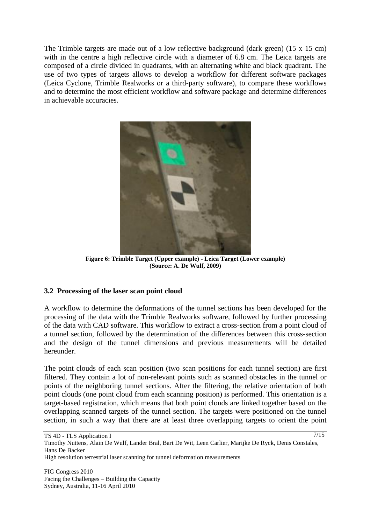The Trimble targets are made out of a low reflective background (dark green)  $(15 \times 15 \text{ cm})$ with in the centre a high reflective circle with a diameter of 6.8 cm. The Leica targets are composed of a circle divided in quadrants, with an alternating white and black quadrant. The use of two types of targets allows to develop a workflow for different software packages (Leica Cyclone, Trimble Realworks or a third-party software), to compare these workflows and to determine the most efficient workflow and software package and determine differences in achievable accuracies.



**Figure 6: Trimble Target (Upper example) - Leica Target (Lower example) (Source: A. De Wulf, 2009)**

## <span id="page-6-0"></span>**3.2 Processing of the laser scan point cloud**

A workflow to determine the deformations of the tunnel sections has been developed for the processing of the data with the Trimble Realworks software, followed by further processing of the data with CAD software. This workflow to extract a cross-section from a point cloud of a tunnel section, followed by the determination of the differences between this cross-section and the design of the tunnel dimensions and previous measurements will be detailed hereunder.

The point clouds of each scan position (two scan positions for each tunnel section) are first filtered. They contain a lot of non-relevant points such as scanned obstacles in the tunnel or points of the neighboring tunnel sections. After the filtering, the relative orientation of both point clouds (one point cloud from each scanning position) is performed. This orientation is a target-based registration, which means that both point clouds are linked together based on the overlapping scanned targets of the tunnel section. The targets were positioned on the tunnel section, in such a way that there are at least three overlapping targets to orient the point

TS 4D - TLS Application I

Timothy Nuttens, Alain De Wulf, Lander Bral, Bart De Wit, Leen Carlier, Marijke De Ryck, Denis Constales, Hans De Backer High resolution terrestrial laser scanning for tunnel deformation measurements

7/15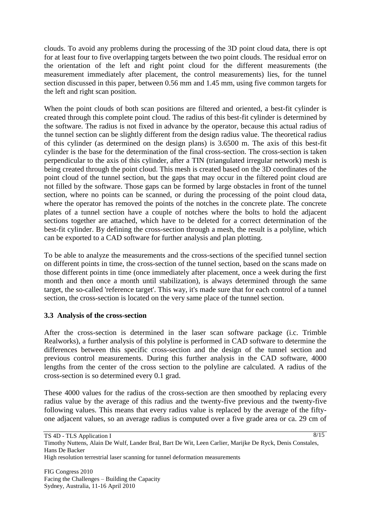clouds. To avoid any problems during the processing of the 3D point cloud data, there is opt for at least four to five overlapping targets between the two point clouds. The residual error on the orientation of the left and right point cloud for the different measurements (the measurement immediately after placement, the control measurements) lies, for the tunnel section discussed in this paper, between 0.56 mm and 1.45 mm, using five common targets for the left and right scan position.

When the point clouds of both scan positions are filtered and oriented, a best-fit cylinder is created through this complete point cloud. The radius of this best-fit cylinder is determined by the software. The radius is not fixed in advance by the operator, because this actual radius of the tunnel section can be slightly different from the design radius value. The theoretical radius of this cylinder (as determined on the design plans) is 3.6500 m. The axis of this best-fit cylinder is the base for the determination of the final cross-section. The cross-section is taken perpendicular to the axis of this cylinder, after a TIN (triangulated irregular network) mesh is being created through the point cloud. This mesh is created based on the 3D coordinates of the point cloud of the tunnel section, but the gaps that may occur in the filtered point cloud are not filled by the software. Those gaps can be formed by large obstacles in front of the tunnel section, where no points can be scanned, or during the processing of the point cloud data, where the operator has removed the points of the notches in the concrete plate. The concrete plates of a tunnel section have a couple of notches where the bolts to hold the adjacent sections together are attached, which have to be deleted for a correct determination of the best-fit cylinder. By defining the cross-section through a mesh, the result is a polyline, which can be exported to a CAD software for further analysis and plan plotting.

To be able to analyze the measurements and the cross-sections of the specified tunnel section on different points in time, the cross-section of the tunnel section, based on the scans made on those different points in time (once immediately after placement, once a week during the first month and then once a month until stabilization), is always determined through the same target, the so-called 'reference target'. This way, it's made sure that for each control of a tunnel section, the cross-section is located on the very same place of the tunnel section.

## **3.3 Analysis of the cross-section**

After the cross-section is determined in the laser scan software package (i.c. Trimble Realworks), a further analysis of this polyline is performed in CAD software to determine the differences between this specific cross-section and the design of the tunnel section and previous control measurements. During this further analysis in the CAD software, 4000 lengths from the center of the cross section to the polyline are calculated. A radius of the cross-section is so determined every 0.1 grad.

These 4000 values for the radius of the cross-section are then smoothed by replacing every radius value by the average of this radius and the twenty-five previous and the twenty-five following values. This means that every radius value is replaced by the average of the fiftyone adjacent values, so an average radius is computed over a five grade area or ca. 29 cm of

 $8/15$ 

TS 4D - TLS Application I

High resolution terrestrial laser scanning for tunnel deformation measurements

Timothy Nuttens, Alain De Wulf, Lander Bral, Bart De Wit, Leen Carlier, Marijke De Ryck, Denis Constales, Hans De Backer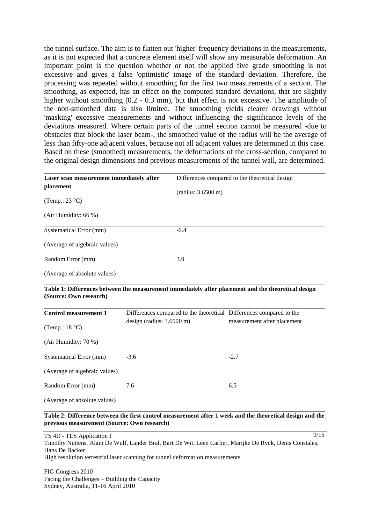the tunnel surface. The aim is to flatten out 'higher' frequency deviations in the measurements, as it is not expected that a concrete element itself will show any measurable deformation. An important point is the question whether or not the applied five grade smoothing is not excessive and gives a false 'optimistic' image of the standard deviation. Therefore, the processing was repeated without smoothing for the first two measurements of a section. The smoothing, as expected, has an effect on the computed standard deviations, that are slightly higher without smoothing (0.2 - 0.3 mm), but that effect is not excessive. The amplitude of the non-smoothed data is also limited. The smoothing yields clearer drawings without 'masking' excessive measurements and without influencing the significance levels of the deviations measured. Where certain parts of the tunnel section cannot be measured -due to obstacles that block the laser beam-, the smoothed value of the radius will be the average of less than fifty-one adjacent values, because not all adjacent values are determined in this case. Based on these (smoothed) measurements, the deformations of the cross-section, compared to the original design dimensions and previous measurements of the tunnel wall, are determined.

<span id="page-8-0"></span>

| Laser scan measurement immediately after |                           |                    | Differences compared to the theoretical design                                                      |  |
|------------------------------------------|---------------------------|--------------------|-----------------------------------------------------------------------------------------------------|--|
| placement                                |                           |                    |                                                                                                     |  |
| (Temp.: 23 $^{\circ}$ C)                 |                           | (radius: 3.6500 m) |                                                                                                     |  |
|                                          |                           |                    |                                                                                                     |  |
| (Air Humidity: 66 %)                     |                           |                    |                                                                                                     |  |
| Systematical Error (mm)                  |                           | $-0.4$             |                                                                                                     |  |
| (Average of algebraic values)            |                           |                    |                                                                                                     |  |
| Random Error (mm)                        |                           | 3.9                |                                                                                                     |  |
| (Average of absolute values)             |                           |                    |                                                                                                     |  |
| (Source: Own research)                   |                           |                    | Table 1: Differences between the measurement immediately after placement and the theoretical design |  |
| <b>Control measurement 1</b>             |                           |                    | Differences compared to the theoretical Differences compared to the                                 |  |
| (Temp.: $18 °C$ )                        | design (radius: 3.6500 m) |                    | measurement after placement                                                                         |  |
| (Air Humidity: 70 %)                     |                           |                    |                                                                                                     |  |
| <b>Systematical Error (mm)</b>           | $-3.6$                    |                    | $-2.7$                                                                                              |  |
| (Average of algebraic values)            |                           |                    |                                                                                                     |  |
| Random Error (mm)                        | 7.6                       |                    | 6.5                                                                                                 |  |
| (Average of absolute values)             |                           |                    |                                                                                                     |  |

#### <span id="page-8-1"></span>**Table 2: Difference between the first control measurement after 1 week and the theoretical design and the previous measurement (Source: Own research)**

TS 4D - TLS Application I Timothy Nuttens, Alain De Wulf, Lander Bral, Bart De Wit, Leen Carlier, Marijke De Ryck, Denis Constales, Hans De Backer High resolution terrestrial laser scanning for tunnel deformation measurements 9/15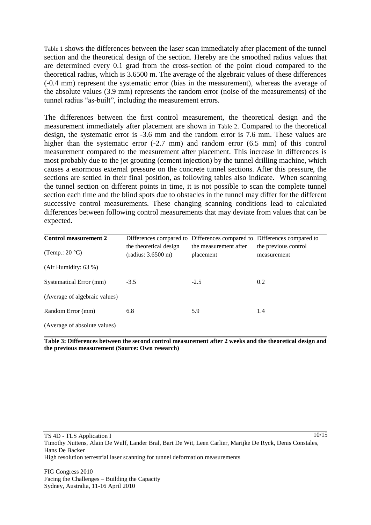[Table 1](#page-8-0) shows the differences between the laser scan immediately after placement of the tunnel section and the theoretical design of the section. Hereby are the smoothed radius values that are determined every 0.1 grad from the cross-section of the point cloud compared to the theoretical radius, which is 3.6500 m. The average of the algebraic values of these differences (-0.4 mm) represent the systematic error (bias in the measurement), whereas the average of the absolute values (3.9 mm) represents the random error (noise of the measurements) of the tunnel radius "as-built", including the measurement errors.

The differences between the first control measurement, the theoretical design and the measurement immediately after placement are shown in [Table 2](#page-8-1). Compared to the theoretical design, the systematic error is -3.6 mm and the random error is 7.6 mm. These values are higher than the systematic error (-2.7 mm) and random error (6.5 mm) of this control measurement compared to the measurement after placement. This increase in differences is most probably due to the jet grouting (cement injection) by the tunnel drilling machine, which causes a enormous external pressure on the concrete tunnel sections. After this pressure, the sections are settled in their final position, as following tables also indicate. When scanning the tunnel section on different points in time, it is not possible to scan the complete tunnel section each time and the blind spots due to obstacles in the tunnel may differ for the different successive control measurements. These changing scanning conditions lead to calculated differences between following control measurements that may deviate from values that can be expected.

| <b>Control measurement 2</b>  |                                              | Differences compared to Differences compared to Differences compared to |                                     |
|-------------------------------|----------------------------------------------|-------------------------------------------------------------------------|-------------------------------------|
| (Temp.: $20^{\circ}$ C)       | the theoretical design<br>(radius: 3.6500 m) | the measurement after<br>placement                                      | the previous control<br>measurement |
| (Air Humidity: $63\%$ )       |                                              |                                                                         |                                     |
| Systematical Error (mm)       | $-3.5$                                       | $-2.5$                                                                  | 0.2                                 |
| (Average of algebraic values) |                                              |                                                                         |                                     |
| Random Error (mm)             | 6.8                                          | 5.9                                                                     | 1.4                                 |
| (Average of absolute values)  |                                              |                                                                         |                                     |

<span id="page-9-0"></span>**Table 3: Differences between the second control measurement after 2 weeks and the theoretical design and the previous measurement (Source: Own research)**

Timothy Nuttens, Alain De Wulf, Lander Bral, Bart De Wit, Leen Carlier, Marijke De Ryck, Denis Constales, Hans De Backer High resolution terrestrial laser scanning for tunnel deformation measurements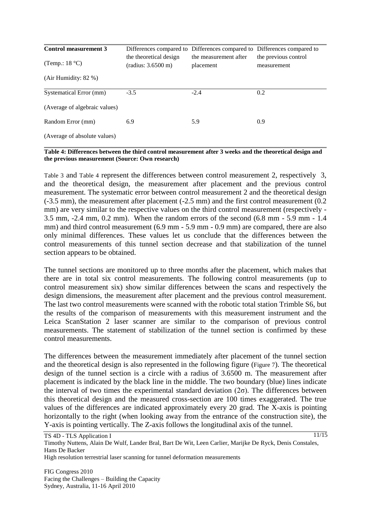| <b>Control measurement 3</b><br>(Temp.: $18 °C$ ) | the theoretical design | Differences compared to Differences compared to Differences compared to<br>the measurement after | the previous control |
|---------------------------------------------------|------------------------|--------------------------------------------------------------------------------------------------|----------------------|
| (Air Humidity: $82\%$ )                           | (radius: 3.6500 m)     | placement                                                                                        | measurement          |
| Systematical Error (mm)                           | $-3.5$                 | $-2.4$                                                                                           | 0.2                  |
| (Average of algebraic values)                     |                        |                                                                                                  |                      |
| Random Error (mm)                                 | 6.9                    | 5.9                                                                                              | 0.9                  |
| (Average of absolute values)                      |                        |                                                                                                  |                      |

#### <span id="page-10-0"></span>**Table 4: Differences between the third control measurement after 3 weeks and the theoretical design and the previous measurement (Source: Own research)**

[Table 3](#page-9-0) and [Table 4](#page-10-0) represent the differences between control measurement 2, respectively 3, and the theoretical design, the measurement after placement and the previous control measurement. The systematic error between control measurement 2 and the theoretical design (-3.5 mm), the measurement after placement (-2.5 mm) and the first control measurement (0.2 mm) are very similar to the respective values on the third control measurement (respectively - 3.5 mm, -2.4 mm, 0.2 mm). When the random errors of the second (6.8 mm - 5.9 mm - 1.4 mm) and third control measurement (6.9 mm - 5.9 mm - 0.9 mm) are compared, there are also only minimal differences. These values let us conclude that the differences between the control measurements of this tunnel section decrease and that stabilization of the tunnel section appears to be obtained.

The tunnel sections are monitored up to three months after the placement, which makes that there are in total six control measurements. The following control measurements (up to control measurement six) show similar differences between the scans and respectively the design dimensions, the measurement after placement and the previous control measurement. The last two control measurements were scanned with the robotic total station Trimble S6, but the results of the comparison of measurements with this measurement instrument and the Leica ScanStation 2 laser scanner are similar to the comparison of previous control measurements. The statement of stabilization of the tunnel section is confirmed by these control measurements.

The differences between the measurement immediately after placement of the tunnel section and the theoretical design is also represented in the following figure ([Figure 7](#page-11-0)). The theoretical design of the tunnel section is a circle with a radius of 3.6500 m. The measurement after placement is indicated by the black line in the middle. The two boundary (blue) lines indicate the interval of two times the experimental standard deviation  $(2\sigma)$ . The differences between this theoretical design and the measured cross-section are 100 times exaggerated. The true values of the differences are indicated approximately every 20 grad. The X-axis is pointing horizontally to the right (when looking away from the entrance of the construction site), the Y-axis is pointing vertically. The Z-axis follows the longitudinal axis of the tunnel.

TS 4D - TLS Application I Timothy Nuttens, Alain De Wulf, Lander Bral, Bart De Wit, Leen Carlier, Marijke De Ryck, Denis Constales, Hans De Backer High resolution terrestrial laser scanning for tunnel deformation measurements 11/15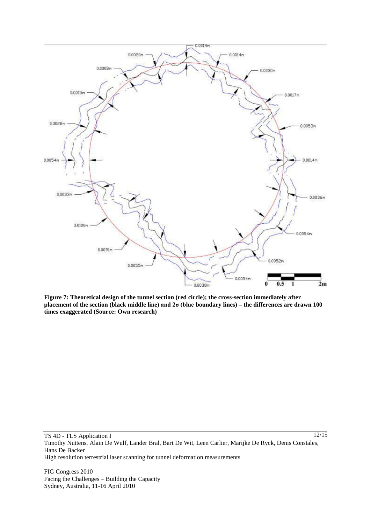

<span id="page-11-0"></span>**Figure 7: Theoretical design of the tunnel section (red circle); the cross-section immediately after placement of the section (black middle line) and 2σ (blue boundary lines) – the differences are drawn 100 times exaggerated (Source: Own research)**

Timothy Nuttens, Alain De Wulf, Lander Bral, Bart De Wit, Leen Carlier, Marijke De Ryck, Denis Constales, Hans De Backer

High resolution terrestrial laser scanning for tunnel deformation measurements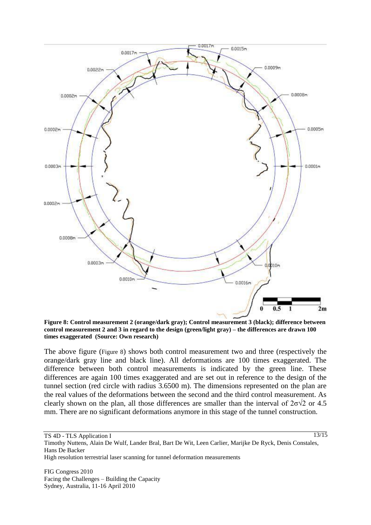

<span id="page-12-0"></span>**Figure 8: Control measurement 2 (orange/dark gray); Control measurement 3 (black); difference between control measurement 2 and 3 in regard to the design (green/light gray) – the differences are drawn 100 times exaggerated (Source: Own research)**

The above figure ([Figure 8](#page-12-0)) shows both control measurement two and three (respectively the orange/dark gray line and black line). All deformations are 100 times exaggerated. The difference between both control measurements is indicated by the green line. These differences are again 100 times exaggerated and are set out in reference to the design of the tunnel section (red circle with radius 3.6500 m). The dimensions represented on the plan are the real values of the deformations between the second and the third control measurement. As clearly shown on the plan, all those differences are smaller than the interval of  $2\sigma\sqrt{2}$  or 4.5 mm. There are no significant deformations anymore in this stage of the tunnel construction.

TS 4D - TLS Application I

13/15

Timothy Nuttens, Alain De Wulf, Lander Bral, Bart De Wit, Leen Carlier, Marijke De Ryck, Denis Constales, Hans De Backer High resolution terrestrial laser scanning for tunnel deformation measurements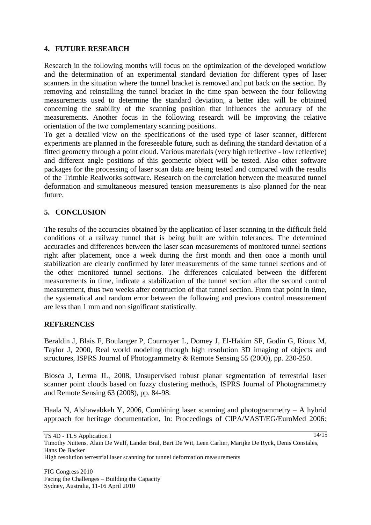## **4. FUTURE RESEARCH**

Research in the following months will focus on the optimization of the developed workflow and the determination of an experimental standard deviation for different types of laser scanners in the situation where the tunnel bracket is removed and put back on the section. By removing and reinstalling the tunnel bracket in the time span between the four following measurements used to determine the standard deviation, a better idea will be obtained concerning the stability of the scanning position that influences the accuracy of the measurements. Another focus in the following research will be improving the relative orientation of the two complementary scanning positions.

To get a detailed view on the specifications of the used type of laser scanner, different experiments are planned in the foreseeable future, such as defining the standard deviation of a fitted geometry through a point cloud. Various materials (very high reflective - low reflective) and different angle positions of this geometric object will be tested. Also other software packages for the processing of laser scan data are being tested and compared with the results of the Trimble Realworks software. Research on the correlation between the measured tunnel deformation and simultaneous measured tension measurements is also planned for the near future.

## **5. CONCLUSION**

The results of the accuracies obtained by the application of laser scanning in the difficult field conditions of a railway tunnel that is being built are within tolerances. The determined accuracies and differences between the laser scan measurements of monitored tunnel sections right after placement, once a week during the first month and then once a month until stabilization are clearly confirmed by later measurements of the same tunnel sections and of the other monitored tunnel sections. The differences calculated between the different measurements in time, indicate a stabilization of the tunnel section after the second control measurement, thus two weeks after contruction of that tunnel section. From that point in time, the systematical and random error between the following and previous control measurement are less than 1 mm and non significant statistically.

#### **REFERENCES**

Beraldin J, Blais F, Boulanger P, Cournoyer L, Domey J, El-Hakim SF, Godin G, Rioux M, Taylor J, 2000, Real world modeling through high resolution 3D imaging of objects and structures, ISPRS Journal of Photogrammetry & Remote Sensing 55 (2000), pp. 230-250.

Biosca J, Lerma JL, 2008, Unsupervised robust planar segmentation of terrestrial laser scanner point clouds based on fuzzy clustering methods, ISPRS Journal of Photogrammetry and Remote Sensing 63 (2008), pp. 84-98.

Haala N, Alshawabkeh Y, 2006, Combining laser scanning and photogrammetry – A hybrid approach for heritage documentation, In: Proceedings of CIPA/VAST/EG/EuroMed 2006:

14/15

TS 4D - TLS Application I

Timothy Nuttens, Alain De Wulf, Lander Bral, Bart De Wit, Leen Carlier, Marijke De Ryck, Denis Constales, Hans De Backer High resolution terrestrial laser scanning for tunnel deformation measurements